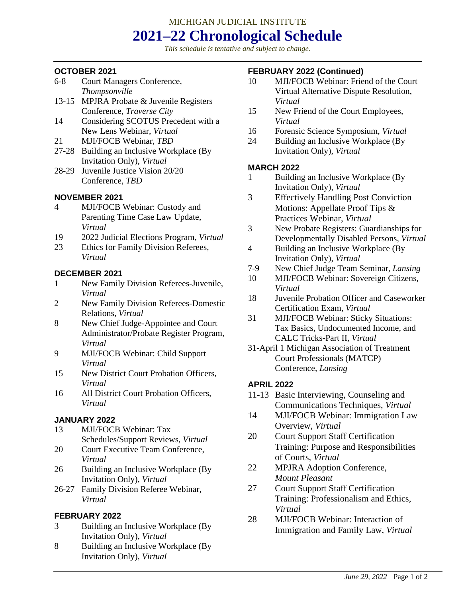## MICHIGAN JUDICIAL INSTITUTE **2021–22 Chronological Schedule**

*This schedule is tentative and subject to change.*

## **OCTOBER 2021**

- 6-8 Court Managers Conference, *Thompsonville*
- 13-15 MPJRA Probate & Juvenile Registers Conference, *Traverse City*
- 14 Considering SCOTUS Precedent with a New Lens Webinar, *Virtual*
- 21 MJI/FOCB Webinar, *TBD*
- 27-28 Building an Inclusive Workplace (By Invitation Only), *Virtual*
- 28-29 Juvenile Justice Vision 20/20 Conference, *TBD*

## **NOVEMBER 2021**

- 4 MJI/FOCB Webinar: Custody and Parenting Time Case Law Update, *Virtual*
- 19 2022 Judicial Elections Program, *Virtual*
- 23 Ethics for Family Division Referees, *Virtual*

## **DECEMBER 2021**

- 1 New Family Division Referees-Juvenile, *Virtual*
- 2 New Family Division Referees-Domestic Relations, *Virtual*
- 8 New Chief Judge-Appointee and Court Administrator/Probate Register Program, *Virtual*
- 9 MJI/FOCB Webinar: Child Support *Virtual*
- 15 New District Court Probation Officers, *Virtual*
- 16 All District Court Probation Officers, *Virtual*

## **JANUARY 2022**

- 13 MJI/FOCB Webinar: Tax Schedules/Support Reviews, *Virtual*
- 20 Court Executive Team Conference, *Virtual*
- 26 Building an Inclusive Workplace (By Invitation Only), *Virtual*
- 26-27 Family Division Referee Webinar, *Virtual*

## **FEBRUARY 2022**

- 3 Building an Inclusive Workplace (By Invitation Only), *Virtual*
- 8 Building an Inclusive Workplace (By Invitation Only), *Virtual*

## **FEBRUARY 2022 (Continued)**

- 10 MJI/FOCB Webinar: Friend of the Court Virtual Alternative Dispute Resolution, *Virtual*
- 15 New Friend of the Court Employees, *Virtual*
- 16 Forensic Science Symposium, *Virtual*
- 24 Building an Inclusive Workplace (By Invitation Only), *Virtual*

#### **MARCH 2022**

- 1 Building an Inclusive Workplace (By Invitation Only), *Virtual*
- 3 Effectively Handling Post Conviction Motions: Appellate Proof Tips & Practices Webinar, *Virtual*
- 3 New Probate Registers: Guardianships for Developmentally Disabled Persons, *Virtual*
- 4 Building an Inclusive Workplace (By Invitation Only), *Virtual*
- 7-9 New Chief Judge Team Seminar, *Lansing*
- 10 MJI/FOCB Webinar: Sovereign Citizens, *Virtual*
- 18 Juvenile Probation Officer and Caseworker Certification Exam, *Virtual*
- 31 MJI/FOCB Webinar: Sticky Situations: Tax Basics, Undocumented Income, and CALC Tricks-Part II, *Virtual*
- 31-April 1 Michigan Association of Treatment Court Professionals (MATCP) Conference, *Lansing*

## **APRIL 2022**

- 11-13 Basic Interviewing, Counseling and Communications Techniques, *Virtual*
- 14 MJI/FOCB Webinar: Immigration Law Overview, *Virtual*
- 20 Court Support Staff Certification Training: Purpose and Responsibilities of Courts, *Virtual*
- 22 MPJRA Adoption Conference, *Mount Pleasant*
- 27 Court Support Staff Certification Training: Professionalism and Ethics, *Virtual*
- 28 MJI/FOCB Webinar: Interaction of Immigration and Family Law, *Virtual*